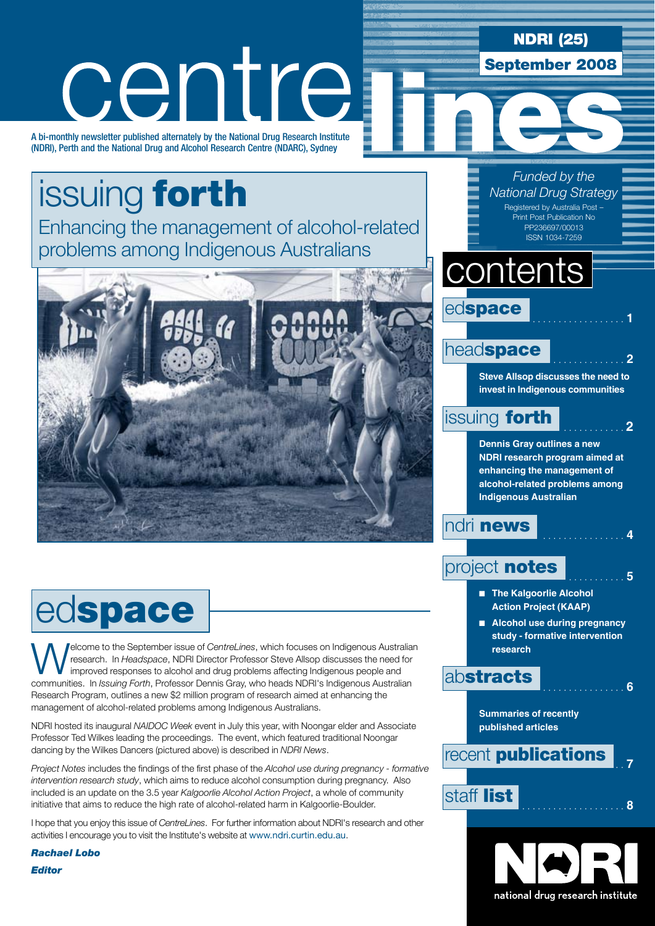### NDRI (25)

September 2008

*Funded by the National Drug Strategy*

# centre

A bi-monthly newsletter published alternately by the National Drug Research Institute (NDRI), Perth and the National Drug and Alcohol Research Centre (NDARC), Sydney

# issuing forth

Enhancing the management of alcohol-related problems among Indigenous Australians



# edspace

**Welcome to the September issue of** *CentreLines*, which focuses on Indigenous Australian research. In *Headspace*, NDRI Director Professor Steve Allsop discusses the need for improved responses to alcohol and drug problem research. In *Headspace*, NDRI Director Professor Steve Allsop discusses the need for communities. In *Issuing Forth*, Professor Dennis Gray, who heads NDRI's Indigenous Australian Research Program, outlines a new \$2 million program of research aimed at enhancing the management of alcohol-related problems among Indigenous Australians.

NDRI hosted its inaugural *NAIDOC Week* event in July this year, with Noongar elder and Associate Professor Ted Wilkes leading the proceedings. The event, which featured traditional Noongar dancing by the Wilkes Dancers (pictured above) is described in *NDRI News*.

*Project Notes* includes the findings of the first phase of the *Alcohol use during pregnancy - formative intervention research study*, which aims to reduce alcohol consumption during pregnancy. Also included is an update on the 3.5 year *Kalgoorlie Alcohol Action Project*, a whole of community initiative that aims to reduce the high rate of alcohol-related harm in Kalgoorlie-Boulder.

I hope that you enjoy this issue of *CentreLines*. For further information about NDRI's research and other activities I encourage you to visit the Institute's website at www.ndri.curtin.edu.au.

*Rachael Lobo Editor*

#### Registered by Australia Post – Print Post Publication No PP236697/00013 ISSN 1034-7259

# **contents**



### headspace

**Steve Allsop discusses the need to invest in Indigenous communities**

### issuing forth . . **<sup>2</sup>**

**Dennis Gray outlines a new NDRI research program aimed at enhancing the management of alcohol-related problems among Indigenous Australian**

### ndri **news**

### project **notes**

- **n** The Kalgoorlie Alcohol **Action Project (KAAP)**
- Alcohol use during pregnancy **study - formative intervention research**

### abstracts . . **<sup>6</sup>**

**Summaries of recently published articles**

## recent **publications**  $\frac{1}{7}$ staff list . . **<sup>8</sup>**

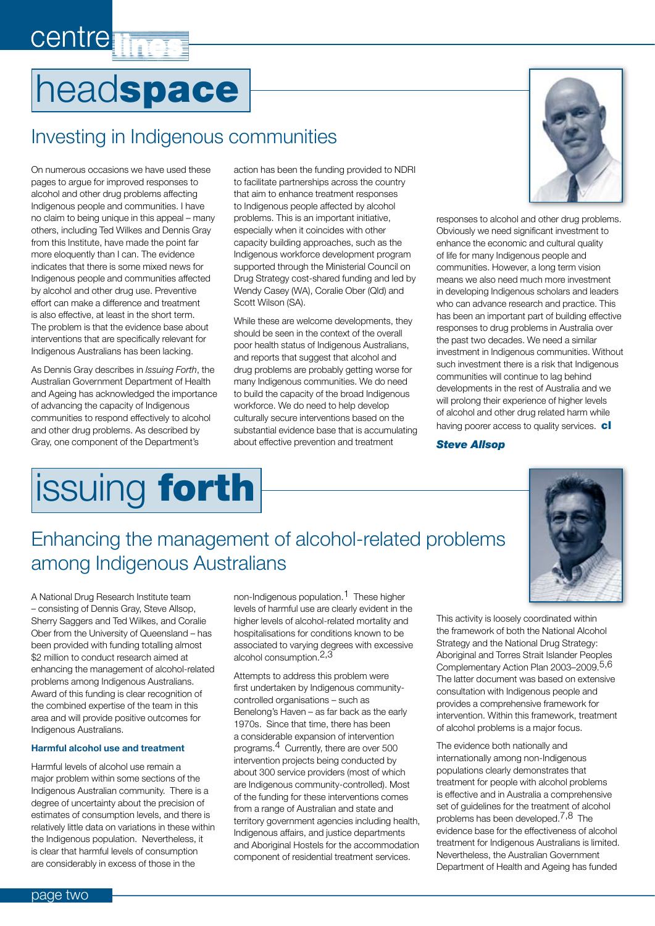# centre **T**

# headspace

### Investing in Indigenous communities

On numerous occasions we have used these pages to argue for improved responses to alcohol and other drug problems affecting Indigenous people and communities. I have no claim to being unique in this appeal – many others, including Ted Wilkes and Dennis Gray from this Institute, have made the point far more eloquently than I can. The evidence indicates that there is some mixed news for Indigenous people and communities affected by alcohol and other drug use. Preventive effort can make a difference and treatment is also effective, at least in the short term. The problem is that the evidence base about interventions that are specifically relevant for Indigenous Australians has been lacking.

As Dennis Gray describes in *Issuing Forth*, the Australian Government Department of Health and Ageing has acknowledged the importance of advancing the capacity of Indigenous communities to respond effectively to alcohol and other drug problems. As described by Gray, one component of the Department's



action has been the funding provided to NDRI to facilitate partnerships across the country that aim to enhance treatment responses to Indigenous people affected by alcohol problems. This is an important initiative, especially when it coincides with other capacity building approaches, such as the Indigenous workforce development program supported through the Ministerial Council on Drug Strategy cost-shared funding and led by Wendy Casey (WA), Coralie Ober (Qld) and Scott Wilson (SA).

While these are welcome developments, they should be seen in the context of the overall poor health status of Indigenous Australians, and reports that suggest that alcohol and drug problems are probably getting worse for many Indigenous communities. We do need to build the capacity of the broad Indigenous workforce. We do need to help develop culturally secure interventions based on the substantial evidence base that is accumulating about effective prevention and treatment



responses to alcohol and other drug problems. Obviously we need significant investment to enhance the economic and cultural quality of life for many Indigenous people and communities. However, a long term vision means we also need much more investment in developing Indigenous scholars and leaders who can advance research and practice. This has been an important part of building effective responses to drug problems in Australia over the past two decades. We need a similar investment in Indigenous communities. Without such investment there is a risk that Indigenous communities will continue to lag behind developments in the rest of Australia and we will prolong their experience of higher levels of alcohol and other drug related harm while having poorer access to quality services. cl

#### *Steve Allsop*



### Enhancing the management of alcohol-related problems among Indigenous Australians

A National Drug Research Institute team – consisting of Dennis Gray, Steve Allsop, Sherry Saggers and Ted Wilkes, and Coralie Ober from the University of Queensland – has been provided with funding totalling almost \$2 million to conduct research aimed at enhancing the management of alcohol-related problems among Indigenous Australians. Award of this funding is clear recognition of the combined expertise of the team in this area and will provide positive outcomes for Indigenous Australians.

#### **Harmful alcohol use and treatment**

Harmful levels of alcohol use remain a major problem within some sections of the Indigenous Australian community. There is a degree of uncertainty about the precision of estimates of consumption levels, and there is relatively little data on variations in these within the Indigenous population. Nevertheless, it is clear that harmful levels of consumption are considerably in excess of those in the

non-Indigenous population.1 These higher levels of harmful use are clearly evident in the higher levels of alcohol-related mortality and hospitalisations for conditions known to be associated to varying degrees with excessive alcohol consumption.2,3

Attempts to address this problem were first undertaken by Indigenous communitycontrolled organisations – such as Benelong's Haven – as far back as the early 1970s. Since that time, there has been a considerable expansion of intervention programs.4 Currently, there are over 500 intervention projects being conducted by about 300 service providers (most of which are Indigenous community-controlled). Most of the funding for these interventions comes from a range of Australian and state and territory government agencies including health, Indigenous affairs, and justice departments and Aboriginal Hostels for the accommodation component of residential treatment services.

This activity is loosely coordinated within the framework of both the National Alcohol Strategy and the National Drug Strategy: Aboriginal and Torres Strait Islander Peoples Complementary Action Plan 2003–2009.5,6 The latter document was based on extensive consultation with Indigenous people and provides a comprehensive framework for intervention. Within this framework, treatment of alcohol problems is a major focus.

The evidence both nationally and internationally among non-Indigenous populations clearly demonstrates that treatment for people with alcohol problems is effective and in Australia a comprehensive set of guidelines for the treatment of alcohol problems has been developed.<sup>7,8</sup> The evidence base for the effectiveness of alcohol treatment for Indigenous Australians is limited. Nevertheless, the Australian Government Department of Health and Ageing has funded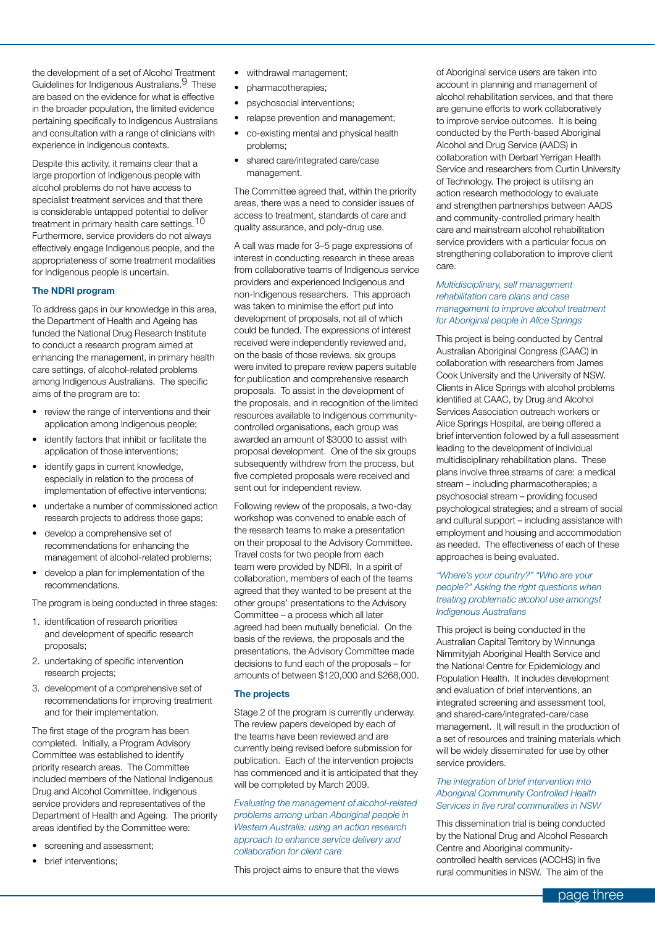the development of a set of Alcohol Treatment Guidelines for Indigenous Australians.<sup>9</sup> These are based on the evidence for what is effective in the broader population, the limited evidence pertaining specifically to Indigenous Australians and consultation with a range of clinicians with experience in Indigenous contexts.

Despite this activity, it remains clear that a large proportion of Indigenous people with alcohol problems do not have access to specialist treatment services and that there is considerable untapped potential to deliver treatment in primary health care settings.<sup>10</sup> Furthermore, service providers do not always effectively engage Indigenous people, and the appropriateness of some treatment modalities for Indigenous people is uncertain.

#### **The NDRI program**

To address gaps in our knowledge in this area, the Department of Health and Ageing has funded the National Drug Research Institute to conduct a research program aimed at enhancing the management, in primary health care settings, of alcohol-related problems among Indigenous Australians. The specific aims of the program are to:

- • review the range of interventions and their application among Indigenous people;
- identify factors that inhibit or facilitate the application of those interventions;
- identify gaps in current knowledge, especially in relation to the process of implementation of effective interventions;
- undertake a number of commissioned action research projects to address those gaps;
- develop a comprehensive set of recommendations for enhancing the management of alcohol-related problems;
- develop a plan for implementation of the recommendations.

The program is being conducted in three stages:

- 1. identification of research priorities and development of specific research proposals;
- 2. undertaking of specific intervention research projects;
- 3. development of a comprehensive set of recommendations for improving treatment and for their implementation.

The first stage of the program has been completed. Initially, a Program Advisory Committee was established to identify priority research areas. The Committee included members of the National Indigenous Drug and Alcohol Committee, Indigenous service providers and representatives of the Department of Health and Ageing. The priority areas identified by the Committee were:

- screening and assessment;
- brief interventions;
- withdrawal management;
- pharmacotherapies;
- psychosocial interventions;
- relapse prevention and management:
- co-existing mental and physical health problems;
- shared care/integrated care/case management.

The Committee agreed that, within the priority areas, there was a need to consider issues of access to treatment, standards of care and quality assurance, and poly-drug use.

A call was made for 3–5 page expressions of interest in conducting research in these areas from collaborative teams of Indigenous service providers and experienced Indigenous and non-Indigenous researchers. This approach was taken to minimise the effort put into development of proposals, not all of which could be funded. The expressions of interest received were independently reviewed and, on the basis of those reviews, six groups were invited to prepare review papers suitable for publication and comprehensive research proposals. To assist in the development of the proposals, and in recognition of the limited resources available to Indigenous communitycontrolled organisations, each group was awarded an amount of \$3000 to assist with proposal development. One of the six groups subsequently withdrew from the process, but five completed proposals were received and sent out for independent review.

Following review of the proposals, a two-day workshop was convened to enable each of the research teams to make a presentation on their proposal to the Advisory Committee. Travel costs for two people from each team were provided by NDRI. In a spirit of collaboration, members of each of the teams agreed that they wanted to be present at the other groups' presentations to the Advisory Committee – a process which all later agreed had been mutually beneficial. On the basis of the reviews, the proposals and the presentations, the Advisory Committee made decisions to fund each of the proposals – for amounts of between \$120,000 and \$268,000.

#### **The projects**

Stage 2 of the program is currently underway. The review papers developed by each of the teams have been reviewed and are currently being revised before submission for publication. Each of the intervention projects has commenced and it is anticipated that they will be completed by March 2009.

*Evaluating the management of alcohol-related problems among urban Aboriginal people in Western Australia: using an action research approach to enhance service delivery and collaboration for client care*

This project aims to ensure that the views

of Aboriginal service users are taken into account in planning and management of alcohol rehabilitation services, and that there are genuine efforts to work collaboratively to improve service outcomes. It is being conducted by the Perth-based Aboriginal Alcohol and Drug Service (AADS) in collaboration with Derbarl Yerrigan Health Service and researchers from Curtin University of Technology. The project is utilising an action research methodology to evaluate and strengthen partnerships between AADS and community-controlled primary health care and mainstream alcohol rehabilitation service providers with a particular focus on strengthening collaboration to improve client care.

#### *Multidisciplinary, self management rehabilitation care plans and case management to improve alcohol treatment for Aboriginal people in Alice Springs*

This project is being conducted by Central Australian Aboriginal Congress (CAAC) in collaboration with researchers from James Cook University and the University of NSW. Clients in Alice Springs with alcohol problems identified at CAAC, by Drug and Alcohol Services Association outreach workers or Alice Springs Hospital, are being offered a brief intervention followed by a full assessment leading to the development of individual multidisciplinary rehabilitation plans. These plans involve three streams of care: a medical stream – including pharmacotherapies; a psychosocial stream – providing focused psychological strategies; and a stream of social and cultural support – including assistance with employment and housing and accommodation as needed. The effectiveness of each of these approaches is being evaluated.

#### *"Where's your country?" "Who are your people?" Asking the right questions when treating problematic alcohol use amongst Indigenous Australians*

This project is being conducted in the Australian Capital Territory by Winnunga Nimmityjah Aboriginal Health Service and the National Centre for Epidemiology and Population Health. It includes development and evaluation of brief interventions, an integrated screening and assessment tool, and shared-care/integrated-care/case management. It will result in the production of a set of resources and training materials which will be widely disseminated for use by other service providers.

#### *The integration of brief intervention into Aboriginal Community Controlled Health Services in five rural communities in NSW*

This dissemination trial is being conducted by the National Drug and Alcohol Research Centre and Aboriginal communitycontrolled health services (ACCHS) in five rural communities in NSW. The aim of the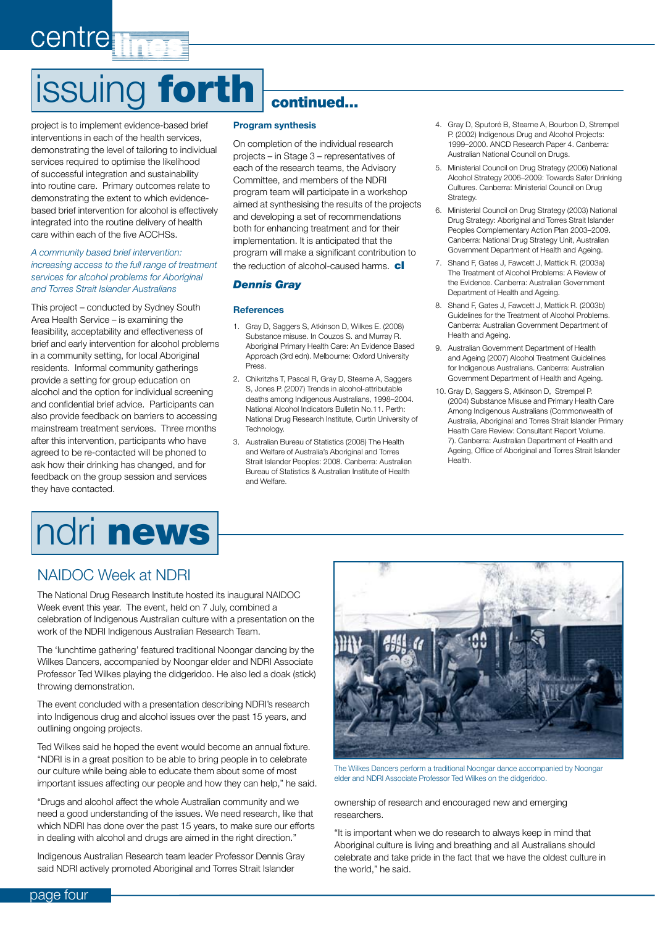# issuing forth continued...

project is to implement evidence-based brief interventions in each of the health services, demonstrating the level of tailoring to individual services required to optimise the likelihood of successful integration and sustainability into routine care. Primary outcomes relate to demonstrating the extent to which evidencebased brief intervention for alcohol is effectively integrated into the routine delivery of health care within each of the five ACCHSs.

centre

#### *A community based brief intervention: increasing access to the full range of treatment services for alcohol problems for Aboriginal and Torres Strait Islander Australians*

This project – conducted by Sydney South Area Health Service – is examining the feasibility, acceptability and effectiveness of brief and early intervention for alcohol problems in a community setting, for local Aboriginal residents. Informal community gatherings provide a setting for group education on alcohol and the option for individual screening and confidential brief advice. Participants can also provide feedback on barriers to accessing mainstream treatment services. Three months after this intervention, participants who have agreed to be re-contacted will be phoned to ask how their drinking has changed, and for feedback on the group session and services they have contacted.

# ndri news

#### **Program synthesis**

On completion of the individual research projects – in Stage 3 – representatives of each of the research teams, the Advisory Committee, and members of the NDRI program team will participate in a workshop aimed at synthesising the results of the projects and developing a set of recommendations both for enhancing treatment and for their implementation. It is anticipated that the program will make a significant contribution to the reduction of alcohol-caused harms. cl

#### *Dennis Gray*

#### **References**

- 1. Gray D, Saggers S, Atkinson D, Wilkes E. (2008) Substance misuse. In Couzos S. and Murray R. Aboriginal Primary Health Care: An Evidence Based Approach (3rd edn). Melbourne: Oxford University Press.
- 2. Chikritzhs T, Pascal R, Gray D, Stearne A, Saggers S, Jones P. (2007) Trends in alcohol-attributable deaths among Indigenous Australians, 1998–2004. National Alcohol Indicators Bulletin No.11. Perth: National Drug Research Institute, Curtin University of Technology.
- 3. Australian Bureau of Statistics (2008) The Health and Welfare of Australia's Aboriginal and Torres Strait Islander Peoples: 2008. Canberra: Australian Bureau of Statistics & Australian Institute of Health and Welfare.
- 4. Gray D, Sputoré B, Stearne A, Bourbon D, Strempel P. (2002) Indigenous Drug and Alcohol Projects: 1999–2000. ANCD Research Paper 4. Canberra: Australian National Council on Drugs.
- 5. Ministerial Council on Drug Strategy (2006) National Alcohol Strategy 2006–2009: Towards Safer Drinking Cultures. Canberra: Ministerial Council on Drug Strategy.
- 6. Ministerial Council on Drug Strategy (2003) National Drug Strategy: Aboriginal and Torres Strait Islander Peoples Complementary Action Plan 2003–2009. Canberra: National Drug Strategy Unit, Australian Government Department of Health and Ageing.
- 7. Shand F, Gates J, Fawcett J, Mattick R. (2003a) The Treatment of Alcohol Problems: A Review of the Evidence. Canberra: Australian Government Department of Health and Ageing.
- 8. Shand F, Gates J, Fawcett J, Mattick R. (2003b) Guidelines for the Treatment of Alcohol Problems. Canberra: Australian Government Department of Health and Ageing.
- 9. Australian Government Department of Health and Ageing (2007) Alcohol Treatment Guidelines for Indigenous Australians. Canberra: Australian Government Department of Health and Ageing.
- 10. Gray D, Saggers S, Atkinson D, Strempel P. (2004) Substance Misuse and Primary Health Care Among Indigenous Australians (Commonwealth of Australia, Aboriginal and Torres Strait Islander Primary Health Care Review: Consultant Report Volume. 7). Canberra: Australian Department of Health and Ageing, Office of Aboriginal and Torres Strait Islander Health.

#### NAIDOC Week at NDRI

The National Drug Research Institute hosted its inaugural NAIDOC Week event this year. The event, held on 7 July, combined a celebration of Indigenous Australian culture with a presentation on the work of the NDRI Indigenous Australian Research Team.

The 'lunchtime gathering' featured traditional Noongar dancing by the Wilkes Dancers, accompanied by Noongar elder and NDRI Associate Professor Ted Wilkes playing the didgeridoo. He also led a doak (stick) throwing demonstration.

The event concluded with a presentation describing NDRI's research into Indigenous drug and alcohol issues over the past 15 years, and outlining ongoing projects.

Ted Wilkes said he hoped the event would become an annual fixture. "NDRI is in a great position to be able to bring people in to celebrate our culture while being able to educate them about some of most important issues affecting our people and how they can help," he said.

"Drugs and alcohol affect the whole Australian community and we need a good understanding of the issues. We need research, like that which NDRI has done over the past 15 years, to make sure our efforts in dealing with alcohol and drugs are aimed in the right direction."

Indigenous Australian Research team leader Professor Dennis Gray said NDRI actively promoted Aboriginal and Torres Strait Islander



The Wilkes Dancers perform a traditional Noongar dance accompanied by Noongar elder and NDRI Associate Professor Ted Wilkes on the didgeridoo.

ownership of research and encouraged new and emerging researchers.

"It is important when we do research to always keep in mind that Aboriginal culture is living and breathing and all Australians should celebrate and take pride in the fact that we have the oldest culture in the world," he said.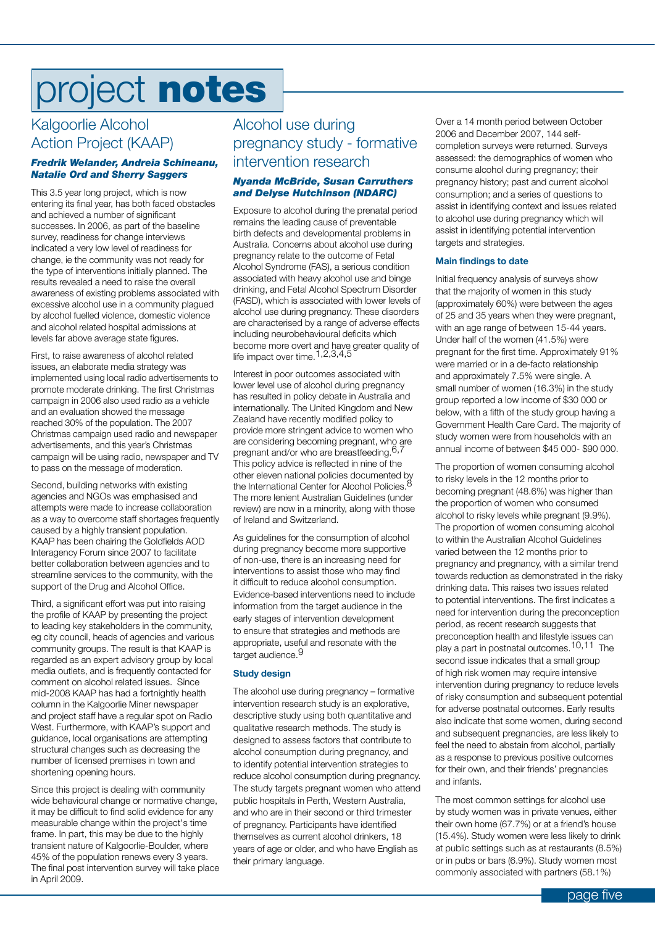# project notes

### Kalgoorlie Alcohol Action Project (KAAP)

#### *Fredrik Welander, Andreia Schineanu, Natalie Ord and Sherry Saggers*

This 3.5 year long project, which is now entering its final year, has both faced obstacles and achieved a number of significant successes. In 2006, as part of the baseline survey, readiness for change interviews indicated a very low level of readiness for change, ie the community was not ready for the type of interventions initially planned. The results revealed a need to raise the overall awareness of existing problems associated with excessive alcohol use in a community plagued by alcohol fuelled violence, domestic violence and alcohol related hospital admissions at levels far above average state figures.

First, to raise awareness of alcohol related issues, an elaborate media strategy was implemented using local radio advertisements to promote moderate drinking. The first Christmas campaign in 2006 also used radio as a vehicle and an evaluation showed the message reached 30% of the population. The 2007 Christmas campaign used radio and newspaper advertisements, and this year's Christmas campaign will be using radio, newspaper and TV to pass on the message of moderation.

Second, building networks with existing agencies and NGOs was emphasised and attempts were made to increase collaboration as a way to overcome staff shortages frequently caused by a highly transient population. KAAP has been chairing the Goldfields AOD Interagency Forum since 2007 to facilitate better collaboration between agencies and to streamline services to the community, with the support of the Drug and Alcohol Office.

Third, a significant effort was put into raising the profile of KAAP by presenting the project to leading key stakeholders in the community, eg city council, heads of agencies and various community groups. The result is that KAAP is regarded as an expert advisory group by local media outlets, and is frequently contacted for comment on alcohol related issues. Since mid-2008 KAAP has had a fortnightly health column in the Kalgoorlie Miner newspaper and project staff have a regular spot on Radio West. Furthermore, with KAAP's support and guidance, local organisations are attempting structural changes such as decreasing the number of licensed premises in town and shortening opening hours.

Since this project is dealing with community wide behavioural change or normative change, it may be difficult to find solid evidence for any measurable change within the project's time frame. In part, this may be due to the highly transient nature of Kalgoorlie-Boulder, where 45% of the population renews every 3 years. The final post intervention survey will take place in April 2009.

### Alcohol use during pregnancy study - formative intervention research

#### *Nyanda McBride, Susan Carruthers and Delyse Hutchinson (NDARC)*

Exposure to alcohol during the prenatal period remains the leading cause of preventable birth defects and developmental problems in Australia. Concerns about alcohol use during pregnancy relate to the outcome of Fetal Alcohol Syndrome (FAS), a serious condition associated with heavy alcohol use and binge drinking, and Fetal Alcohol Spectrum Disorder (FASD), which is associated with lower levels of alcohol use during pregnancy. These disorders are characterised by a range of adverse effects including neurobehavioural deficits which become more overt and have greater quality of life impact over time. 1,2,3,4,5

Interest in poor outcomes associated with lower level use of alcohol during pregnancy has resulted in policy debate in Australia and internationally. The United Kingdom and New Zealand have recently modified policy to provide more stringent advice to women who are considering becoming pregnant, who are pregnant and/or who are breastfeeding.<sup>6,7</sup> This policy advice is reflected in nine of the other eleven national policies documented by the International Center for Alcohol Policies.<sup>8</sup> The more lenient Australian Guidelines (under review) are now in a minority, along with those of Ireland and Switzerland.

As guidelines for the consumption of alcohol during pregnancy become more supportive of non-use, there is an increasing need for interventions to assist those who may find it difficult to reduce alcohol consumption. Evidence-based interventions need to include information from the target audience in the early stages of intervention development to ensure that strategies and methods are appropriate, useful and resonate with the target audience.<sup>9</sup>

#### **Study design**

The alcohol use during pregnancy – formative intervention research study is an explorative, descriptive study using both quantitative and qualitative research methods. The study is designed to assess factors that contribute to alcohol consumption during pregnancy, and to identify potential intervention strategies to reduce alcohol consumption during pregnancy. The study targets pregnant women who attend public hospitals in Perth, Western Australia, and who are in their second or third trimester of pregnancy. Participants have identified themselves as current alcohol drinkers, 18 years of age or older, and who have English as their primary language.

Over a 14 month period between October 2006 and December 2007, 144 selfcompletion surveys were returned. Surveys assessed: the demographics of women who consume alcohol during pregnancy; their pregnancy history; past and current alcohol consumption; and a series of questions to assist in identifying context and issues related to alcohol use during pregnancy which will assist in identifying potential intervention targets and strategies.

#### **Main findings to date**

Initial frequency analysis of surveys show that the majority of women in this study (approximately 60%) were between the ages of 25 and 35 years when they were pregnant, with an age range of between 15-44 years. Under half of the women (41.5%) were pregnant for the first time. Approximately 91% were married or in a de-facto relationship and approximately 7.5% were single. A small number of women (16.3%) in the study group reported a low income of \$30 000 or below, with a fifth of the study group having a Government Health Care Card. The majority of study women were from households with an annual income of between \$45 000- \$90 000.

The proportion of women consuming alcohol to risky levels in the 12 months prior to becoming pregnant (48.6%) was higher than the proportion of women who consumed alcohol to risky levels while pregnant (9.9%). The proportion of women consuming alcohol to within the Australian Alcohol Guidelines varied between the 12 months prior to pregnancy and pregnancy, with a similar trend towards reduction as demonstrated in the risky drinking data. This raises two issues related to potential interventions. The first indicates a need for intervention during the preconception period, as recent research suggests that preconception health and lifestyle issues can play a part in postnatal outcomes.10,11 The second issue indicates that a small group of high risk women may require intensive intervention during pregnancy to reduce levels of risky consumption and subsequent potential for adverse postnatal outcomes. Early results also indicate that some women, during second and subsequent pregnancies, are less likely to feel the need to abstain from alcohol, partially as a response to previous positive outcomes for their own, and their friends' pregnancies and infants.

The most common settings for alcohol use by study women was in private venues, either their own home (67.7%) or at a friend's house (15.4%). Study women were less likely to drink at public settings such as at restaurants (8.5%) or in pubs or bars (6.9%). Study women most commonly associated with partners (58.1%)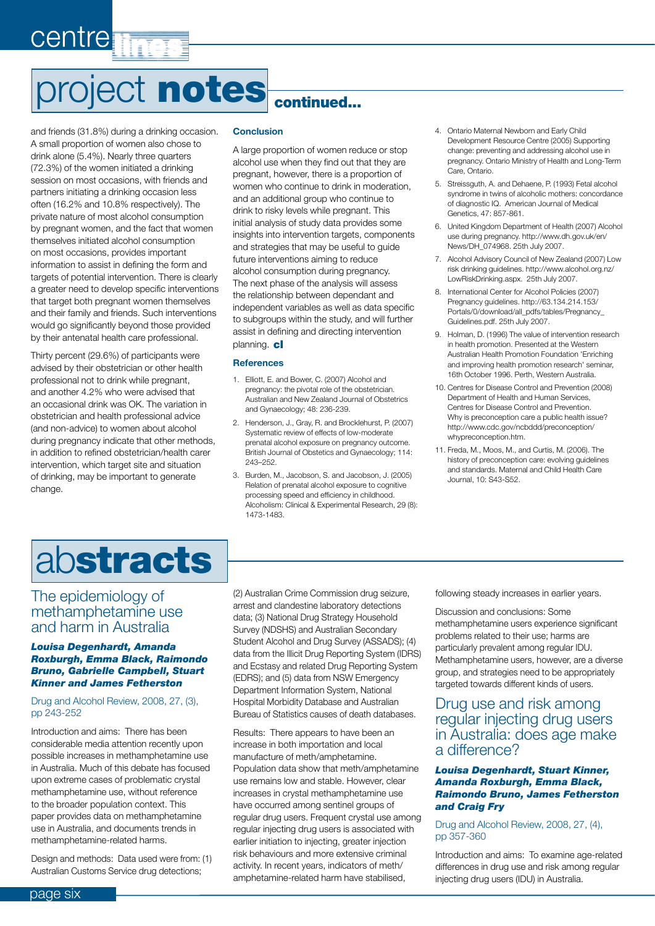# project notes continued...

and friends (31.8%) during a drinking occasion. A small proportion of women also chose to drink alone (5.4%). Nearly three quarters (72.3%) of the women initiated a drinking session on most occasions, with friends and partners initiating a drinking occasion less often (16.2% and 10.8% respectively). The private nature of most alcohol consumption by pregnant women, and the fact that women themselves initiated alcohol consumption on most occasions, provides important information to assist in defining the form and targets of potential intervention. There is clearly a greater need to develop specific interventions that target both pregnant women themselves and their family and friends. Such interventions would go significantly beyond those provided by their antenatal health care professional.

centre

Thirty percent (29.6%) of participants were advised by their obstetrician or other health professional not to drink while pregnant, and another 4.2% who were advised that an occasional drink was OK. The variation in obstetrician and health professional advice (and non-advice) to women about alcohol during pregnancy indicate that other methods, in addition to refined obstetrician/health carer intervention, which target site and situation of drinking, may be important to generate change.

#### **Conclusion**

A large proportion of women reduce or stop alcohol use when they find out that they are pregnant, however, there is a proportion of women who continue to drink in moderation, and an additional group who continue to drink to risky levels while pregnant. This initial analysis of study data provides some insights into intervention targets, components and strategies that may be useful to guide future interventions aiming to reduce alcohol consumption during pregnancy. The next phase of the analysis will assess the relationship between dependant and independent variables as well as data specific to subgroups within the study, and will further assist in defining and directing intervention planning. cl

#### **References**

- 1. Elliott, E. and Bower, C. (2007) Alcohol and pregnancy: the pivotal role of the obstetrician. Australian and New Zealand Journal of Obstetrics and Gynaecology; 48: 236-239.
- 2. Henderson, J., Gray, R. and Brocklehurst, P. (2007) Systematic review of effects of low-moderate prenatal alcohol exposure on pregnancy outcome. British Journal of Obstetics and Gynaecology; 114: 243–252.
- 3. Burden, M., Jacobson, S. and Jacobson, J. (2005) Relation of prenatal alcohol exposure to cognitive processing speed and efficiency in childhood. Alcoholism: Clinical & Experimental Research, 29 (8): 1473-1483.
- 4. Ontario Maternal Newborn and Early Child Development Resource Centre (2005) Supporting change: preventing and addressing alcohol use in pregnancy. Ontario Ministry of Health and Long-Term Care, Ontario.
- 5. Streissguth, A. and Dehaene, P. (1993) Fetal alcohol syndrome in twins of alcoholic mothers: concordance of diagnostic IQ. American Journal of Medical Genetics, 47: 857-861.
- 6. United Kingdom Department of Health (2007) Alcohol use during pregnancy. http://www.dh.gov.uk/en/ News/DH\_074968. 25th July 2007.
- 7. Alcohol Advisory Council of New Zealand (2007) Low risk drinking guidelines. http://www.alcohol.org.nz/ LowRiskDrinking.aspx. 25th July 2007.
- 8. International Center for Alcohol Policies (2007) Pregnancy guidelines. http://63.134.214.153/ Portals/0/download/all\_pdfs/tables/Pregnancy\_ Guidelines.pdf. 25th July 2007.
- 9. Holman, D. (1996) The value of intervention research in health promotion. Presented at the Western Australian Health Promotion Foundation 'Enriching and improving health promotion research' seminar, 16th October 1996. Perth, Western Australia.
- 10. Centres for Disease Control and Prevention (2008) Department of Health and Human Services, Centres for Disease Control and Prevention. Why is preconception care a public health issue? http://www.cdc.gov/ncbddd/preconception/ whypreconception.htm.
- 11. Freda, M., Moos, M., and Curtis, M. (2006). The history of preconception care: evolving guidelines and standards. Maternal and Child Health Care Journal, 10: S43-S52.

# abstracts

#### The epidemiology of methamphetamine use and harm in Australia

#### *Louisa Degenhardt, Amanda Roxburgh, Emma Black, Raimondo Bruno, Gabrielle Campbell, Stuart Kinner and James Fetherston*

#### Drug and Alcohol Review, 2008, 27, (3), pp 243-252

Introduction and aims: There has been considerable media attention recently upon possible increases in methamphetamine use in Australia. Much of this debate has focused upon extreme cases of problematic crystal methamphetamine use, without reference to the broader population context. This paper provides data on methamphetamine use in Australia, and documents trends in methamphetamine-related harms.

Design and methods: Data used were from: (1) Australian Customs Service drug detections;

(2) Australian Crime Commission drug seizure, arrest and clandestine laboratory detections data; (3) National Drug Strategy Household Survey (NDSHS) and Australian Secondary Student Alcohol and Drug Survey (ASSADS); (4) data from the Illicit Drug Reporting System (IDRS) and Ecstasy and related Drug Reporting System (EDRS); and (5) data from NSW Emergency Department Information System, National Hospital Morbidity Database and Australian Bureau of Statistics causes of death databases.

Results: There appears to have been an increase in both importation and local manufacture of meth/amphetamine. Population data show that meth/amphetamine use remains low and stable. However, clear increases in crystal methamphetamine use have occurred among sentinel groups of regular drug users. Frequent crystal use among regular injecting drug users is associated with earlier initiation to injecting, greater injection risk behaviours and more extensive criminal activity. In recent years, indicators of meth/ amphetamine-related harm have stabilised,

following steady increases in earlier years.

Discussion and conclusions: Some methamphetamine users experience significant problems related to their use; harms are particularly prevalent among regular IDU. Methamphetamine users, however, are a diverse group, and strategies need to be appropriately targeted towards different kinds of users.

#### Drug use and risk among regular injecting drug users in Australia: does age make a difference?

#### *Louisa Degenhardt, Stuart Kinner, Amanda Roxburgh, Emma Black, Raimondo Bruno, James Fetherston and Craig Fry*

Drug and Alcohol Review, 2008, 27, (4), pp 357-360

Introduction and aims: To examine age-related differences in drug use and risk among regular injecting drug users (IDU) in Australia.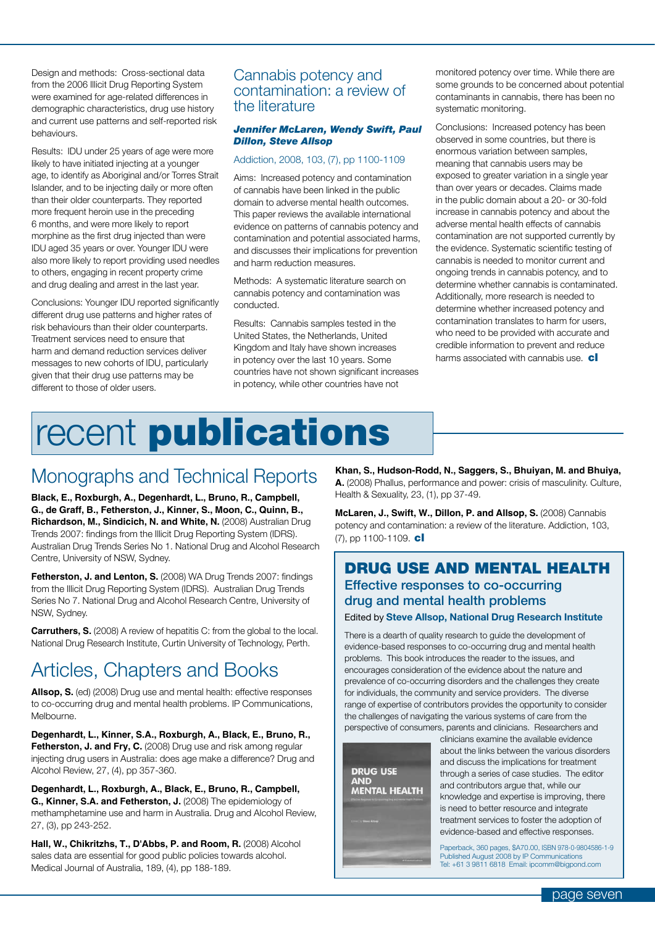Design and methods: Cross-sectional data from the 2006 Illicit Drug Reporting System were examined for age-related differences in demographic characteristics, drug use history and current use patterns and self-reported risk behaviours.

Results: IDU under 25 years of age were more likely to have initiated injecting at a younger age, to identify as Aboriginal and/or Torres Strait Islander, and to be injecting daily or more often than their older counterparts. They reported more frequent heroin use in the preceding 6 months, and were more likely to report morphine as the first drug injected than were IDU aged 35 years or over. Younger IDU were also more likely to report providing used needles to others, engaging in recent property crime and drug dealing and arrest in the last year.

Conclusions: Younger IDU reported significantly different drug use patterns and higher rates of risk behaviours than their older counterparts. Treatment services need to ensure that harm and demand reduction services deliver messages to new cohorts of IDU, particularly given that their drug use patterns may be different to those of older users.

#### Cannabis potency and contamination: a review of the literature

#### *Jennifer McLaren, Wendy Swift, Paul Dillon, Steve Allsop*

#### Addiction, 2008, 103, (7), pp 1100-1109

Aims: Increased potency and contamination of cannabis have been linked in the public domain to adverse mental health outcomes. This paper reviews the available international evidence on patterns of cannabis potency and contamination and potential associated harms, and discusses their implications for prevention and harm reduction measures.

Methods: A systematic literature search on cannabis potency and contamination was conducted.

Results: Cannabis samples tested in the United States, the Netherlands, United Kingdom and Italy have shown increases in potency over the last 10 years. Some countries have not shown significant increases in potency, while other countries have not

monitored potency over time. While there are some grounds to be concerned about potential contaminants in cannabis, there has been no systematic monitoring.

Conclusions: Increased potency has been observed in some countries, but there is enormous variation between samples, meaning that cannabis users may be exposed to greater variation in a single year than over years or decades. Claims made in the public domain about a 20- or 30-fold increase in cannabis potency and about the adverse mental health effects of cannabis contamination are not supported currently by the evidence. Systematic scientific testing of cannabis is needed to monitor current and ongoing trends in cannabis potency, and to determine whether cannabis is contaminated. Additionally, more research is needed to determine whether increased potency and contamination translates to harm for users, who need to be provided with accurate and credible information to prevent and reduce harms associated with cannabis use.  $\mathbf{cl}$ 

# recent **publications**

### Monographs and Technical Reports

**Black, E., Roxburgh, A., Degenhardt, L., Bruno, R., Campbell, G., de Graff, B., Fetherston, J., Kinner, S., Moon, C., Quinn, B., Richardson, M., Sindicich, N. and White, N. (2008) Australian Drug** Trends 2007: findings from the Illicit Drug Reporting System (IDRS). Australian Drug Trends Series No 1. National Drug and Alcohol Research Centre, University of NSW, Sydney.

**Fetherston, J. and Lenton, S.** (2008) WA Drug Trends 2007: findings from the Illicit Drug Reporting System (IDRS). Australian Drug Trends Series No 7. National Drug and Alcohol Research Centre, University of NSW, Sydney.

**Carruthers, S.** (2008) A review of hepatitis C: from the global to the local. National Drug Research Institute, Curtin University of Technology, Perth.

### Articles, Chapters and Books

**Allsop, S.** (ed) (2008) Drug use and mental health: effective responses to co-occurring drug and mental health problems. IP Communications, Melbourne.

**Degenhardt, L., Kinner, S.A., Roxburgh, A., Black, E., Bruno, R., Fetherston, J. and Fry, C.** (2008) Drug use and risk among regular injecting drug users in Australia: does age make a difference? Drug and Alcohol Review, 27, (4), pp 357-360.

**Degenhardt, L., Roxburgh, A., Black, E., Bruno, R., Campbell, G., Kinner, S.A. and Fetherston, J.** (2008) The epidemiology of methamphetamine use and harm in Australia. Drug and Alcohol Review, 27, (3), pp 243-252.

Hall, W., Chikritzhs, T., D'Abbs, P. and Room, R. (2008) Alcohol sales data are essential for good public policies towards alcohol. Medical Journal of Australia, 189, (4), pp 188-189.

**Khan, S., Hudson-Rodd, N., Saggers, S., Bhuiyan, M. and Bhuiya, A.** (2008) Phallus, performance and power: crisis of masculinity. Culture, Health & Sexuality, 23, (1), pp 37-49.

**McLaren, J., Swift, W., Dillon, P. and Allsop, S.** (2008) Cannabis potency and contamination: a review of the literature. Addiction, 103, (7), pp 1100-1109. **cl** 

#### DRUG USE AND MENTAL HEALTH Effective responses to co-occurring drug and mental health problems Edited by **Steve Allsop, National Drug Research Institute**

There is a dearth of quality research to guide the development of evidence-based responses to co-occurring drug and mental health problems. This book introduces the reader to the issues, and encourages consideration of the evidence about the nature and prevalence of co-occurring disorders and the challenges they create for individuals, the community and service providers. The diverse range of expertise of contributors provides the opportunity to consider the challenges of navigating the various systems of care from the perspective of consumers, parents and clinicians. Researchers and



clinicians examine the available evidence about the links between the various disorders and discuss the implications for treatment through a series of case studies. The editor and contributors argue that, while our knowledge and expertise is improving, there is need to better resource and integrate treatment services to foster the adoption of evidence-based and effective responses.

Paperback, 360 pages, \$A70.00, ISBN 978-0-9804586-1-9 Published August 2008 by IP Communications Tel: +61 3 9811 6818 Email: ipcomm@bigpond.com